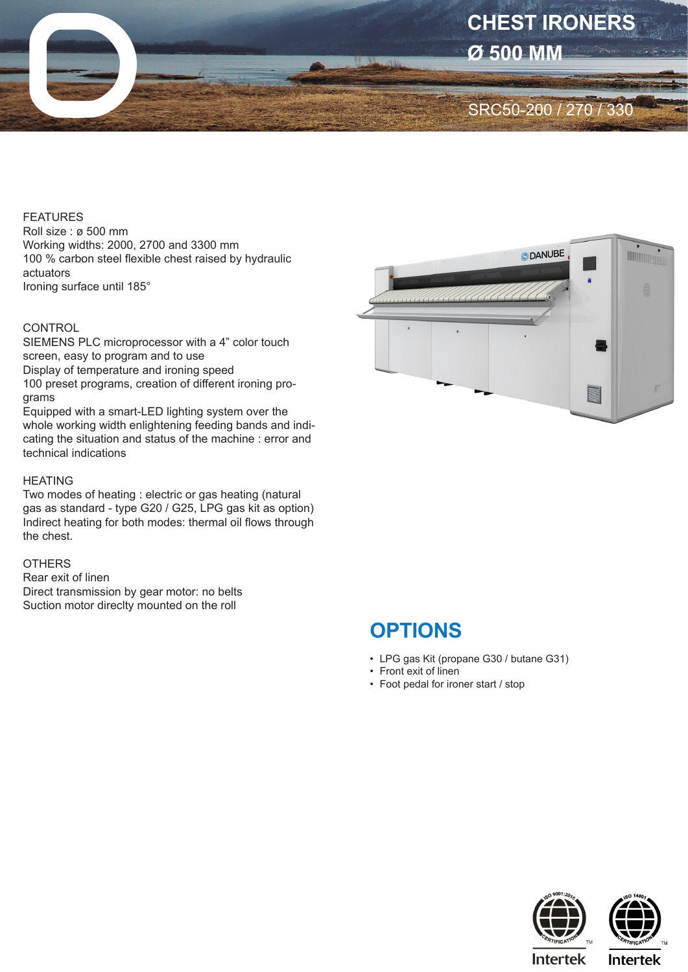

#### FEATURES

Roll size : ø 500 mm Working widths: 2000, 2700 and 3300 mm 100 % carbon steel flexible chest raised by hydraulic actuators Ironing surface until 185°

## **CONTROL**

SIEMENS PLC microprocessor with a 4" color touch screen, easy to program and to use Display of temperature and ironing speed 100 preset programs, creation of different ironing programs

Equipped with a smart-LED lighting system over the whole working width enlightening feeding bands and indicating the situation and status of the machine : error and technical indications

#### **HFATING**

Two modes of heating : electric or gas heating (natural gas as standard - type G20 / G25, LPG gas kit as option) Indirect heating for both modes: thermal oil flows through the chest.

## **OTHERS**

Rear exit of linen Direct transmission by gear motor: no belts Suction motor direclty mounted on the roll



# **OPTIONS**

- LPG gas Kit (propane G30 / butane G31)
- Front exit of linen
- Foot pedal for ironer start / stop